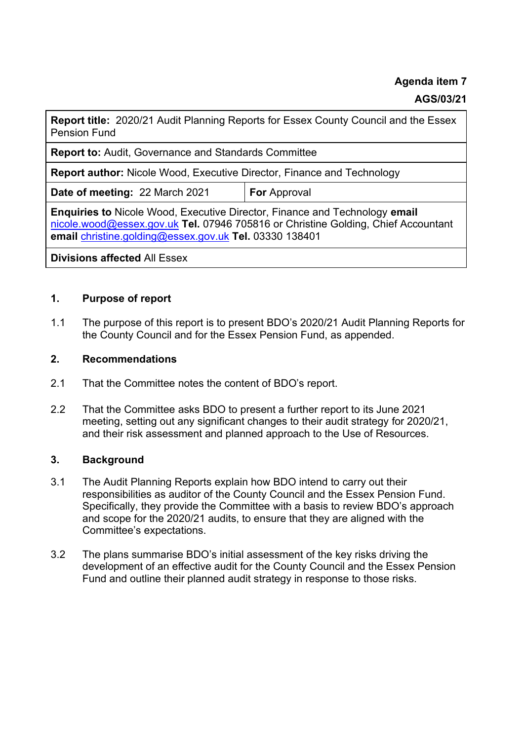**Agenda item 7** 

### **AGS/03/21**

**Report title:** 2020/21 Audit Planning Reports for Essex County Council and the Essex Pension Fund

**Report to:** Audit, Governance and Standards Committee

**Report author:** Nicole Wood, Executive Director, Finance and Technology

**Date of meeting: 22 March 2021 For Approval** 

**Enquiries to** Nicole Wood, Executive Director, Finance and Technology **email**  [nicole.wood@essex.gov.uk](mailto:nicole.wood@essex.gov.uk) **Tel.** 07946 705816 or Christine Golding, Chief Accountant **email** [christine.golding@essex.gov.uk](mailto:christine.golding@essex.gov.uk) **Tel.** 03330 138401

**Divisions affected** All Essex

### **1. Purpose of report**

1.1 The purpose of this report is to present BDO's 2020/21 Audit Planning Reports for the County Council and for the Essex Pension Fund, as appended.

#### **2. Recommendations**

- 2.1 That the Committee notes the content of BDO's report.
- 2.2 That the Committee asks BDO to present a further report to its June 2021 meeting, setting out any significant changes to their audit strategy for 2020/21, and their risk assessment and planned approach to the Use of Resources.

### **3. Background**

- 3.1 The Audit Planning Reports explain how BDO intend to carry out their responsibilities as auditor of the County Council and the Essex Pension Fund. Specifically, they provide the Committee with a basis to review BDO's approach and scope for the 2020/21 audits, to ensure that they are aligned with the Committee's expectations.
- 3.2 The plans summarise BDO's initial assessment of the key risks driving the development of an effective audit for the County Council and the Essex Pension Fund and outline their planned audit strategy in response to those risks.